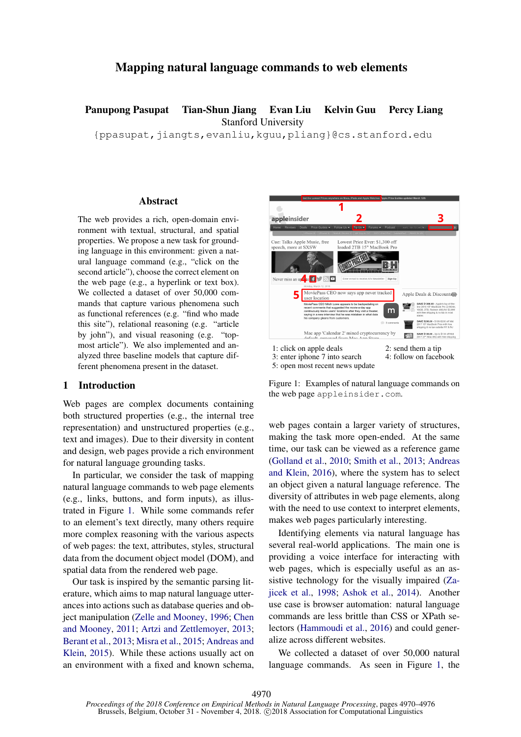# Mapping natural language commands to web elements

Panupong Pasupat Tian-Shun Jiang Evan Liu Kelvin Guu Percy Liang Stanford University

{ppasupat,jiangts,evanliu,kguu,pliang}@cs.stanford.edu

#### Abstract

The web provides a rich, open-domain environment with textual, structural, and spatial properties. We propose a new task for grounding language in this environment: given a natural language command (e.g., "click on the second article"), choose the correct element on the web page (e.g., a hyperlink or text box). We collected a dataset of over 50,000 commands that capture various phenomena such as functional references (e.g. "find who made this site"), relational reasoning (e.g. "article by john"), and visual reasoning (e.g. "topmost article"). We also implemented and analyzed three baseline models that capture different phenomena present in the dataset.

#### 1 Introduction

Web pages are complex documents containing both structured properties (e.g., the internal tree representation) and unstructured properties (e.g., text and images). Due to their diversity in content and design, web pages provide a rich environment for natural language grounding tasks.

In particular, we consider the task of mapping natural language commands to web page elements (e.g., links, buttons, and form inputs), as illustrated in Figure [1.](#page-0-0) While some commands refer to an element's text directly, many others require more complex reasoning with the various aspects of web pages: the text, attributes, styles, structural data from the document object model (DOM), and spatial data from the rendered web page.

Our task is inspired by the semantic parsing literature, which aims to map natural language utterances into actions such as database queries and object manipulation [\(Zelle and Mooney,](#page-6-0) [1996;](#page-6-0) [Chen](#page-5-0) [and Mooney,](#page-5-0) [2011;](#page-5-0) [Artzi and Zettlemoyer,](#page-5-1) [2013;](#page-5-1) [Berant et al.,](#page-5-2) [2013;](#page-5-2) [Misra et al.,](#page-5-3) [2015;](#page-5-3) [Andreas and](#page-5-4) [Klein,](#page-5-4) [2015\)](#page-5-4). While these actions usually act on an environment with a fixed and known schema,



Figure 1: Examples of natural language commands on the web page appleinsider.com.

<span id="page-0-0"></span>web pages contain a larger variety of structures, making the task more open-ended. At the same time, our task can be viewed as a reference game [\(Golland et al.,](#page-5-5) [2010;](#page-5-5) [Smith et al.,](#page-5-6) [2013;](#page-5-6) [Andreas](#page-5-7) [and Klein,](#page-5-7) [2016\)](#page-5-7), where the system has to select an object given a natural language reference. The diversity of attributes in web page elements, along with the need to use context to interpret elements, makes web pages particularly interesting.

Identifying elements via natural language has several real-world applications. The main one is providing a voice interface for interacting with web pages, which is especially useful as an assistive technology for the visually impaired [\(Za](#page-6-1)[jicek et al.,](#page-6-1) [1998;](#page-6-1) [Ashok et al.,](#page-5-8) [2014\)](#page-5-8). Another use case is browser automation: natural language commands are less brittle than CSS or XPath selectors [\(Hammoudi et al.,](#page-5-9) [2016\)](#page-5-9) and could generalize across different websites.

We collected a dataset of over 50,000 natural language commands. As seen in Figure [1,](#page-0-0) the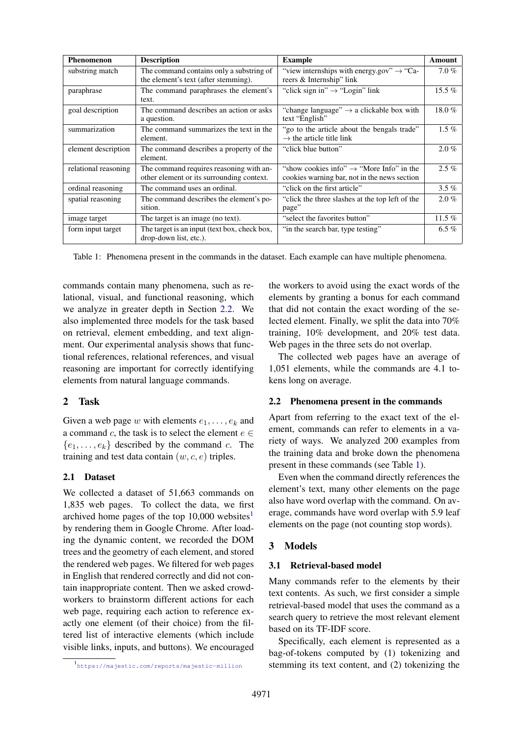| Phenomenon           | <b>Description</b>                                                                   | <b>Example</b>                                                                                       | Amount   |
|----------------------|--------------------------------------------------------------------------------------|------------------------------------------------------------------------------------------------------|----------|
| substring match      | The command contains only a substring of<br>the element's text (after stemming).     | "view internships with energy gov" $\rightarrow$ "Ca-<br>reers & Internship" link                    | $7.0\%$  |
| paraphrase           | The command paraphrases the element's<br>text.                                       | "click sign in" $\rightarrow$ "Login" link                                                           | 15.5 $%$ |
| goal description     | The command describes an action or asks<br>a question.                               | "change language" $\rightarrow$ a clickable box with<br>text "English"                               | 18.0%    |
| summarization        | The command summarizes the text in the<br>element.                                   | "go to the article about the bengals trade"<br>$\rightarrow$ the article title link                  | $1.5\%$  |
| element description  | The command describes a property of the<br>element.                                  | "click blue button"                                                                                  | $2.0\%$  |
| relational reasoning | The command requires reasoning with an-<br>other element or its surrounding context. | "show cookies info" $\rightarrow$ "More Info" in the<br>cookies warning bar, not in the news section | $2.5\%$  |
| ordinal reasoning    | The command uses an ordinal.                                                         | "click on the first article"                                                                         | $3.5\%$  |
| spatial reasoning    | The command describes the element's po-<br>sition.                                   | "click the three slashes at the top left of the<br>page"                                             | $2.0\%$  |
| image target         | The target is an image (no text).                                                    | "select the favorites button"                                                                        | 11.5 $%$ |
| form input target    | The target is an input (text box, check box,<br>drop-down list, etc.).               | "in the search bar, type testing"                                                                    | 6.5 $%$  |

<span id="page-1-2"></span>Table 1: Phenomena present in the commands in the dataset. Each example can have multiple phenomena.

commands contain many phenomena, such as relational, visual, and functional reasoning, which we analyze in greater depth in Section [2.2.](#page-1-0) We also implemented three models for the task based on retrieval, element embedding, and text alignment. Our experimental analysis shows that functional references, relational references, and visual reasoning are important for correctly identifying elements from natural language commands.

## 2 Task

Given a web page w with elements  $e_1, \ldots, e_k$  and a command c, the task is to select the element  $e \in$  ${e_1, \ldots, e_k}$  described by the command c. The training and test data contain  $(w, c, e)$  triples.

## 2.1 Dataset

We collected a dataset of 51,663 commands on 1,835 web pages. To collect the data, we first archived home pages of the top [1](#page-1-1)0,000 websites<sup>1</sup> by rendering them in Google Chrome. After loading the dynamic content, we recorded the DOM trees and the geometry of each element, and stored the rendered web pages. We filtered for web pages in English that rendered correctly and did not contain inappropriate content. Then we asked crowdworkers to brainstorm different actions for each web page, requiring each action to reference exactly one element (of their choice) from the filtered list of interactive elements (which include visible links, inputs, and buttons). We encouraged the workers to avoid using the exact words of the elements by granting a bonus for each command that did not contain the exact wording of the selected element. Finally, we split the data into 70% training, 10% development, and 20% test data. Web pages in the three sets do not overlap.

The collected web pages have an average of 1,051 elements, while the commands are 4.1 tokens long on average.

## <span id="page-1-0"></span>2.2 Phenomena present in the commands

Apart from referring to the exact text of the element, commands can refer to elements in a variety of ways. We analyzed 200 examples from the training data and broke down the phenomena present in these commands (see Table [1\)](#page-1-2).

Even when the command directly references the element's text, many other elements on the page also have word overlap with the command. On average, commands have word overlap with 5.9 leaf elements on the page (not counting stop words).

## 3 Models

## 3.1 Retrieval-based model

Many commands refer to the elements by their text contents. As such, we first consider a simple retrieval-based model that uses the command as a search query to retrieve the most relevant element based on its TF-IDF score.

Specifically, each element is represented as a bag-of-tokens computed by (1) tokenizing and stemming its text content, and (2) tokenizing the

<span id="page-1-1"></span><sup>1</sup> <https://majestic.com/reports/majestic-million>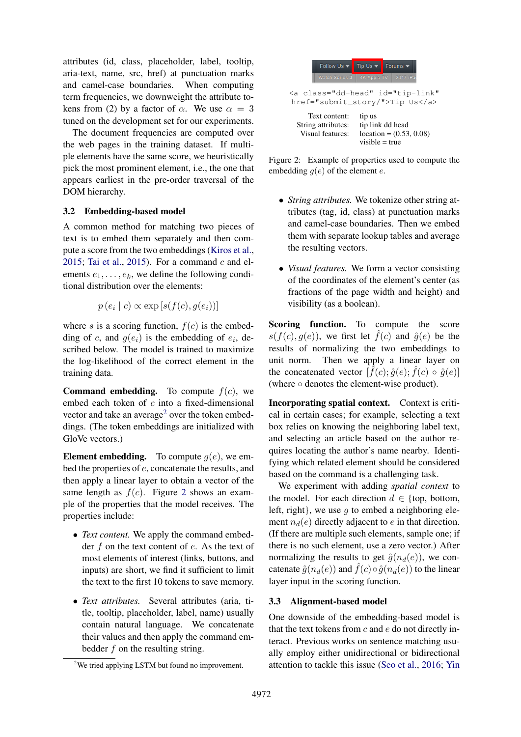attributes (id, class, placeholder, label, tooltip, aria-text, name, src, href) at punctuation marks and camel-case boundaries. When computing term frequencies, we downweight the attribute tokens from (2) by a factor of  $\alpha$ . We use  $\alpha = 3$ tuned on the development set for our experiments.

The document frequencies are computed over the web pages in the training dataset. If multiple elements have the same score, we heuristically pick the most prominent element, i.e., the one that appears earliest in the pre-order traversal of the DOM hierarchy.

## 3.2 Embedding-based model

A common method for matching two pieces of text is to embed them separately and then compute a score from the two embeddings [\(Kiros et al.,](#page-5-10) [2015;](#page-5-10) [Tai et al.,](#page-6-2) [2015\)](#page-6-2). For a command  $c$  and elements  $e_1, \ldots, e_k$ , we define the following conditional distribution over the elements:

$$
p(e_i | c) \propto \exp[s(f(c), g(e_i))]
$$

where s is a scoring function,  $f(c)$  is the embedding of c, and  $g(e_i)$  is the embedding of  $e_i$ , described below. The model is trained to maximize the log-likelihood of the correct element in the training data.

**Command embedding.** To compute  $f(c)$ , we embed each token of c into a fixed-dimensional vector and take an average<sup>[2](#page-2-0)</sup> over the token embeddings. (The token embeddings are initialized with GloVe vectors.)

**Element embedding.** To compute  $g(e)$ , we embed the properties of e, concatenate the results, and then apply a linear layer to obtain a vector of the same length as  $f(c)$ . Figure [2](#page-2-1) shows an example of the properties that the model receives. The properties include:

- *Text content.* We apply the command embedder  $f$  on the text content of  $e$ . As the text of most elements of interest (links, buttons, and inputs) are short, we find it sufficient to limit the text to the first 10 tokens to save memory.
- *Text attributes.* Several attributes (aria, title, tooltip, placeholder, label, name) usually contain natural language. We concatenate their values and then apply the command embedder f on the resulting string.



<span id="page-2-1"></span>Figure 2: Example of properties used to compute the embedding  $q(e)$  of the element e.

- *String attributes.* We tokenize other string attributes (tag, id, class) at punctuation marks and camel-case boundaries. Then we embed them with separate lookup tables and average the resulting vectors.
- *Visual features.* We form a vector consisting of the coordinates of the element's center (as fractions of the page width and height) and visibility (as a boolean).

Scoring function. To compute the score  $s(f(c), q(e))$ , we first let  $\hat{f}(c)$  and  $\hat{q}(e)$  be the results of normalizing the two embeddings to unit norm. Then we apply a linear layer on the concatenated vector  $[\hat{f}(c); \hat{g}(e); \hat{f}(c) \circ \hat{g}(e)]$ (where ◦ denotes the element-wise product).

Incorporating spatial context. Context is critical in certain cases; for example, selecting a text box relies on knowing the neighboring label text, and selecting an article based on the author requires locating the author's name nearby. Identifying which related element should be considered based on the command is a challenging task.

We experiment with adding *spatial context* to the model. For each direction  $d \in \{top, bottom,$ left, right}, we use  $q$  to embed a neighboring element  $n_d(e)$  directly adjacent to e in that direction. (If there are multiple such elements, sample one; if there is no such element, use a zero vector.) After normalizing the results to get  $\hat{g}(n_d(e))$ , we concatenate  $\hat{g}(n_d(e))$  and  $\hat{f}(c) \circ \hat{g}(n_d(e))$  to the linear layer input in the scoring function.

#### 3.3 Alignment-based model

One downside of the embedding-based model is that the text tokens from  $c$  and  $e$  do not directly interact. Previous works on sentence matching usually employ either unidirectional or bidirectional attention to tackle this issue [\(Seo et al.,](#page-5-11) [2016;](#page-5-11) [Yin](#page-6-3)

<span id="page-2-0"></span><sup>&</sup>lt;sup>2</sup>We tried applying LSTM but found no improvement.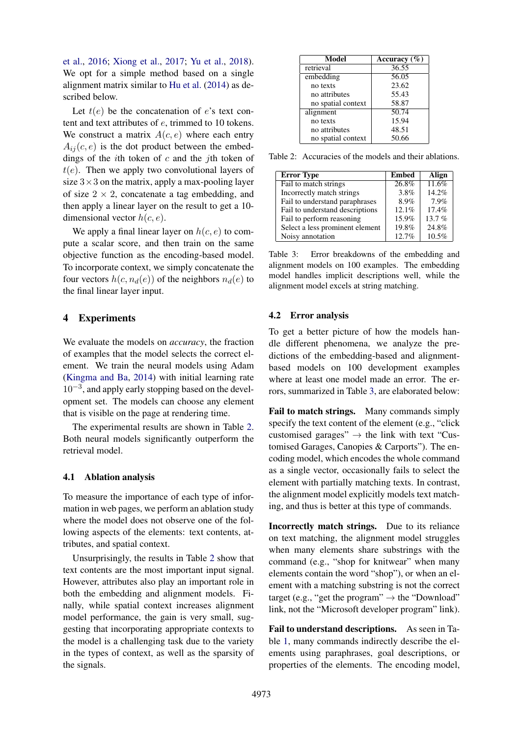[et al.,](#page-6-3) [2016;](#page-6-3) [Xiong et al.,](#page-6-4) [2017;](#page-6-4) [Yu et al.,](#page-6-5) [2018\)](#page-6-5). We opt for a simple method based on a single alignment matrix similar to [Hu et al.](#page-5-12) [\(2014\)](#page-5-12) as described below.

Let  $t(e)$  be the concatenation of e's text content and text attributes of e, trimmed to 10 tokens. We construct a matrix  $A(c, e)$  where each entry  $A_{ij}(c, e)$  is the dot product between the embeddings of the *i*th token of  $c$  and the *j*th token of  $t(e)$ . Then we apply two convolutional layers of size  $3 \times 3$  on the matrix, apply a max-pooling layer of size  $2 \times 2$ , concatenate a tag embedding, and then apply a linear layer on the result to get a 10 dimensional vector  $h(c, e)$ .

We apply a final linear layer on  $h(c, e)$  to compute a scalar score, and then train on the same objective function as the encoding-based model. To incorporate context, we simply concatenate the four vectors  $h(c, n_d(e))$  of the neighbors  $n_d(e)$  to the final linear layer input.

### 4 Experiments

We evaluate the models on *accuracy*, the fraction of examples that the model selects the correct element. We train the neural models using Adam [\(Kingma and Ba,](#page-5-13) [2014\)](#page-5-13) with initial learning rate 10−<sup>3</sup> , and apply early stopping based on the development set. The models can choose any element that is visible on the page at rendering time.

The experimental results are shown in Table [2.](#page-3-0) Both neural models significantly outperform the retrieval model.

#### 4.1 Ablation analysis

To measure the importance of each type of information in web pages, we perform an ablation study where the model does not observe one of the following aspects of the elements: text contents, attributes, and spatial context.

Unsurprisingly, the results in Table [2](#page-3-0) show that text contents are the most important input signal. However, attributes also play an important role in both the embedding and alignment models. Finally, while spatial context increases alignment model performance, the gain is very small, suggesting that incorporating appropriate contexts to the model is a challenging task due to the variety in the types of context, as well as the sparsity of the signals.

| Model              | Accuracy $(\% )$ |  |
|--------------------|------------------|--|
| retrieval          | 36.55            |  |
| embedding          | 56.05            |  |
| no texts           | 23.62            |  |
| no attributes      | 55.43            |  |
| no spatial context | 58.87            |  |
| alignment          | 50.74            |  |
| no texts           | 15.94            |  |
| no attributes      | 48.51            |  |
| no spatial context | 50.66            |  |

<span id="page-3-0"></span>Table 2: Accuracies of the models and their ablations.

| <b>Error Type</b>               | <b>Embed</b> | Align    |
|---------------------------------|--------------|----------|
| Fail to match strings           | 26.8%        | 11.6%    |
| Incorrectly match strings       | 3.8%         | 14.2%    |
| Fail to understand paraphrases  | 8.9%         | 7.9%     |
| Fail to understand descriptions | 12.1%        | 17.4%    |
| Fail to perform reasoning       | 15.9%        | $13.7\%$ |
| Select a less prominent element | 19.8%        | 24.8%    |
| Noisy annotation                | 12.7%        | 10.5%    |

<span id="page-3-1"></span>Table 3: Error breakdowns of the embedding and alignment models on 100 examples. The embedding model handles implicit descriptions well, while the alignment model excels at string matching.

#### 4.2 Error analysis

To get a better picture of how the models handle different phenomena, we analyze the predictions of the embedding-based and alignmentbased models on 100 development examples where at least one model made an error. The errors, summarized in Table [3,](#page-3-1) are elaborated below:

Fail to match strings. Many commands simply specify the text content of the element (e.g., "click customised garages"  $\rightarrow$  the link with text "Customised Garages, Canopies & Carports"). The encoding model, which encodes the whole command as a single vector, occasionally fails to select the element with partially matching texts. In contrast, the alignment model explicitly models text matching, and thus is better at this type of commands.

Incorrectly match strings. Due to its reliance on text matching, the alignment model struggles when many elements share substrings with the command (e.g., "shop for knitwear" when many elements contain the word "shop"), or when an element with a matching substring is not the correct target (e.g., "get the program"  $\rightarrow$  the "Download" link, not the "Microsoft developer program" link).

Fail to understand descriptions. As seen in Table [1,](#page-1-2) many commands indirectly describe the elements using paraphrases, goal descriptions, or properties of the elements. The encoding model,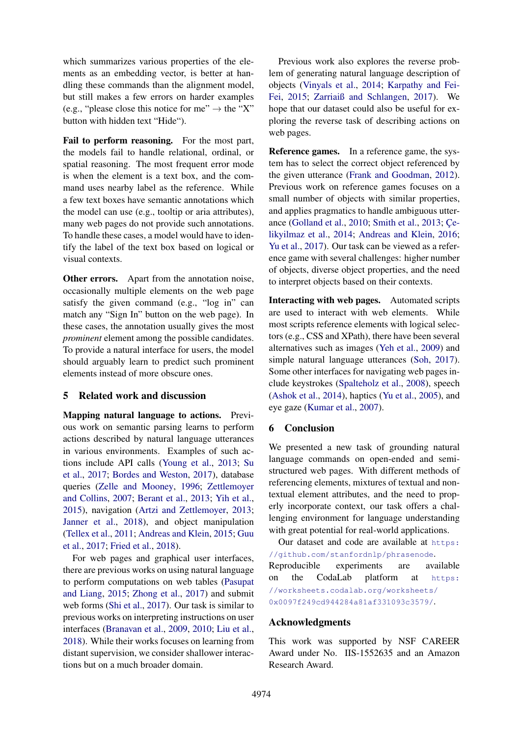which summarizes various properties of the elements as an embedding vector, is better at handling these commands than the alignment model, but still makes a few errors on harder examples (e.g., "please close this notice for me"  $\rightarrow$  the "X" button with hidden text "Hide").

Fail to perform reasoning. For the most part, the models fail to handle relational, ordinal, or spatial reasoning. The most frequent error mode is when the element is a text box, and the command uses nearby label as the reference. While a few text boxes have semantic annotations which the model can use (e.g., tooltip or aria attributes), many web pages do not provide such annotations. To handle these cases, a model would have to identify the label of the text box based on logical or visual contexts.

Other errors. Apart from the annotation noise, occasionally multiple elements on the web page satisfy the given command (e.g., "log in" can match any "Sign In" button on the web page). In these cases, the annotation usually gives the most *prominent* element among the possible candidates. To provide a natural interface for users, the model should arguably learn to predict such prominent elements instead of more obscure ones.

## 5 Related work and discussion

Mapping natural language to actions. Previous work on semantic parsing learns to perform actions described by natural language utterances in various environments. Examples of such actions include API calls [\(Young et al.,](#page-6-6) [2013;](#page-6-6) [Su](#page-6-7) [et al.,](#page-6-7) [2017;](#page-6-7) [Bordes and Weston,](#page-5-14) [2017\)](#page-5-14), database queries [\(Zelle and Mooney,](#page-6-0) [1996;](#page-6-0) [Zettlemoyer](#page-6-8) [and Collins,](#page-6-8) [2007;](#page-6-8) [Berant et al.,](#page-5-2) [2013;](#page-5-2) [Yih et al.,](#page-6-9) [2015\)](#page-6-9), navigation [\(Artzi and Zettlemoyer,](#page-5-1) [2013;](#page-5-1) [Janner et al.,](#page-5-15) [2018\)](#page-5-15), and object manipulation [\(Tellex et al.,](#page-6-10) [2011;](#page-6-10) [Andreas and Klein,](#page-5-4) [2015;](#page-5-4) [Guu](#page-5-16) [et al.,](#page-5-16) [2017;](#page-5-16) [Fried et al.,](#page-5-17) [2018\)](#page-5-17).

For web pages and graphical user interfaces, there are previous works on using natural language to perform computations on web tables [\(Pasupat](#page-5-18) [and Liang,](#page-5-18) [2015;](#page-5-18) [Zhong et al.,](#page-6-11) [2017\)](#page-6-11) and submit web forms [\(Shi et al.,](#page-5-19) [2017\)](#page-5-19). Our task is similar to previous works on interpreting instructions on user interfaces [\(Branavan et al.,](#page-5-20) [2009,](#page-5-20) [2010;](#page-5-21) [Liu et al.,](#page-5-22) [2018\)](#page-5-22). While their works focuses on learning from distant supervision, we consider shallower interactions but on a much broader domain.

Previous work also explores the reverse problem of generating natural language description of objects [\(Vinyals et al.,](#page-6-12) [2014;](#page-6-12) [Karpathy and Fei-](#page-5-23)[Fei,](#page-5-23) [2015;](#page-5-23) [Zarriaiß and Schlangen,](#page-6-13) [2017\)](#page-6-13). We hope that our dataset could also be useful for exploring the reverse task of describing actions on web pages.

Reference games. In a reference game, the system has to select the correct object referenced by the given utterance [\(Frank and Goodman,](#page-5-24) [2012\)](#page-5-24). Previous work on reference games focuses on a small number of objects with similar properties, and applies pragmatics to handle ambiguous utterance [\(Golland et al.,](#page-5-5) [2010;](#page-5-5) [Smith et al.,](#page-5-6) [2013;](#page-5-6) [Çe](#page-5-25)[likyilmaz et al.,](#page-5-25) [2014;](#page-5-25) [Andreas and Klein,](#page-5-7) [2016;](#page-5-7) [Yu et al.,](#page-6-14) [2017\)](#page-6-14). Our task can be viewed as a reference game with several challenges: higher number of objects, diverse object properties, and the need to interpret objects based on their contexts.

Interacting with web pages. Automated scripts are used to interact with web elements. While most scripts reference elements with logical selectors (e.g., CSS and XPath), there have been several alternatives such as images [\(Yeh et al.,](#page-6-15) [2009\)](#page-6-15) and simple natural language utterances [\(Soh,](#page-6-16) [2017\)](#page-6-16). Some other interfaces for navigating web pages include keystrokes [\(Spalteholz et al.,](#page-6-17) [2008\)](#page-6-17), speech [\(Ashok et al.,](#page-5-8) [2014\)](#page-5-8), haptics [\(Yu et al.,](#page-6-18) [2005\)](#page-6-18), and eye gaze [\(Kumar et al.,](#page-5-26) [2007\)](#page-5-26).

## 6 Conclusion

We presented a new task of grounding natural language commands on open-ended and semistructured web pages. With different methods of referencing elements, mixtures of textual and nontextual element attributes, and the need to properly incorporate context, our task offers a challenging environment for language understanding with great potential for real-world applications.

Our dataset and code are available at [https:](https://github.com/stanfordnlp/phrasenode) [//github.com/stanfordnlp/phrasenode](https://github.com/stanfordnlp/phrasenode). Reproducible experiments are available on the CodaLab platform at [https:](https://worksheets.codalab.org/worksheets/0x0097f249cd944284a81af331093c3579/) [//worksheets.codalab.org/worksheets/](https://worksheets.codalab.org/worksheets/0x0097f249cd944284a81af331093c3579/) [0x0097f249cd944284a81af331093c3579/](https://worksheets.codalab.org/worksheets/0x0097f249cd944284a81af331093c3579/).

#### Acknowledgments

This work was supported by NSF CAREER Award under No. IIS-1552635 and an Amazon Research Award.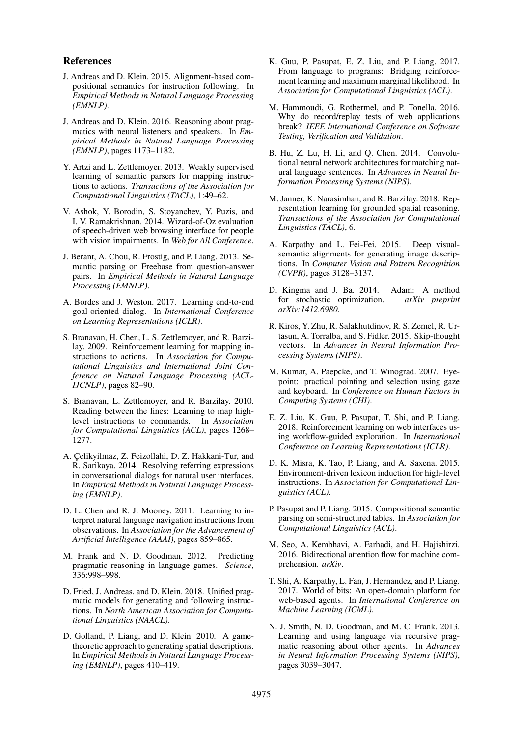#### References

- <span id="page-5-4"></span>J. Andreas and D. Klein. 2015. Alignment-based compositional semantics for instruction following. In *Empirical Methods in Natural Language Processing (EMNLP)*.
- <span id="page-5-7"></span>J. Andreas and D. Klein. 2016. Reasoning about pragmatics with neural listeners and speakers. In *Empirical Methods in Natural Language Processing (EMNLP)*, pages 1173–1182.
- <span id="page-5-1"></span>Y. Artzi and L. Zettlemoyer. 2013. Weakly supervised learning of semantic parsers for mapping instructions to actions. *Transactions of the Association for Computational Linguistics (TACL)*, 1:49–62.
- <span id="page-5-8"></span>V. Ashok, Y. Borodin, S. Stoyanchev, Y. Puzis, and I. V. Ramakrishnan. 2014. Wizard-of-Oz evaluation of speech-driven web browsing interface for people with vision impairments. In *Web for All Conference*.
- <span id="page-5-2"></span>J. Berant, A. Chou, R. Frostig, and P. Liang. 2013. Semantic parsing on Freebase from question-answer pairs. In *Empirical Methods in Natural Language Processing (EMNLP)*.
- <span id="page-5-14"></span>A. Bordes and J. Weston. 2017. Learning end-to-end goal-oriented dialog. In *International Conference on Learning Representations (ICLR)*.
- <span id="page-5-20"></span>S. Branavan, H. Chen, L. S. Zettlemoyer, and R. Barzilay. 2009. Reinforcement learning for mapping instructions to actions. In *Association for Computational Linguistics and International Joint Conference on Natural Language Processing (ACL-IJCNLP)*, pages 82–90.
- <span id="page-5-21"></span>S. Branavan, L. Zettlemoyer, and R. Barzilay. 2010. Reading between the lines: Learning to map high-<br>level instructions to commands. In Association level instructions to commands. *for Computational Linguistics (ACL)*, pages 1268– 1277.
- <span id="page-5-25"></span>A. Çelikyilmaz, Z. Feizollahi, D. Z. Hakkani-Tür, and R. Sarikaya. 2014. Resolving referring expressions in conversational dialogs for natural user interfaces. In *Empirical Methods in Natural Language Processing (EMNLP)*.
- <span id="page-5-0"></span>D. L. Chen and R. J. Mooney. 2011. Learning to interpret natural language navigation instructions from observations. In *Association for the Advancement of Artificial Intelligence (AAAI)*, pages 859–865.
- <span id="page-5-24"></span>M. Frank and N. D. Goodman. 2012. Predicting pragmatic reasoning in language games. *Science*, 336:998–998.
- <span id="page-5-17"></span>D. Fried, J. Andreas, and D. Klein. 2018. Unified pragmatic models for generating and following instructions. In *North American Association for Computational Linguistics (NAACL)*.
- <span id="page-5-5"></span>D. Golland, P. Liang, and D. Klein. 2010. A gametheoretic approach to generating spatial descriptions. In *Empirical Methods in Natural Language Processing (EMNLP)*, pages 410–419.
- <span id="page-5-16"></span>K. Guu, P. Pasupat, E. Z. Liu, and P. Liang. 2017. From language to programs: Bridging reinforcement learning and maximum marginal likelihood. In *Association for Computational Linguistics (ACL)*.
- <span id="page-5-9"></span>M. Hammoudi, G. Rothermel, and P. Tonella. 2016. Why do record/replay tests of web applications break? *IEEE International Conference on Software Testing, Verification and Validation*.
- <span id="page-5-12"></span>B. Hu, Z. Lu, H. Li, and Q. Chen. 2014. Convolutional neural network architectures for matching natural language sentences. In *Advances in Neural Information Processing Systems (NIPS)*.
- <span id="page-5-15"></span>M. Janner, K. Narasimhan, and R. Barzilay. 2018. Representation learning for grounded spatial reasoning. *Transactions of the Association for Computational Linguistics (TACL)*, 6.
- <span id="page-5-23"></span>A. Karpathy and L. Fei-Fei. 2015. Deep visualsemantic alignments for generating image descriptions. In *Computer Vision and Pattern Recognition (CVPR)*, pages 3128–3137.
- <span id="page-5-13"></span>D. Kingma and J. Ba. 2014. Adam: A method for stochastic optimization. *arXiv preprint arXiv:1412.6980*.
- <span id="page-5-10"></span>R. Kiros, Y. Zhu, R. Salakhutdinov, R. S. Zemel, R. Urtasun, A. Torralba, and S. Fidler. 2015. Skip-thought vectors. In *Advances in Neural Information Processing Systems (NIPS)*.
- <span id="page-5-26"></span>M. Kumar, A. Paepcke, and T. Winograd. 2007. Eyepoint: practical pointing and selection using gaze and keyboard. In *Conference on Human Factors in Computing Systems (CHI)*.
- <span id="page-5-22"></span>E. Z. Liu, K. Guu, P. Pasupat, T. Shi, and P. Liang. 2018. Reinforcement learning on web interfaces using workflow-guided exploration. In *International Conference on Learning Representations (ICLR)*.
- <span id="page-5-3"></span>D. K. Misra, K. Tao, P. Liang, and A. Saxena. 2015. Environment-driven lexicon induction for high-level instructions. In *Association for Computational Linguistics (ACL)*.
- <span id="page-5-18"></span>P. Pasupat and P. Liang. 2015. Compositional semantic parsing on semi-structured tables. In *Association for Computational Linguistics (ACL)*.
- <span id="page-5-11"></span>M. Seo, A. Kembhavi, A. Farhadi, and H. Hajishirzi. 2016. Bidirectional attention flow for machine comprehension. *arXiv*.
- <span id="page-5-19"></span>T. Shi, A. Karpathy, L. Fan, J. Hernandez, and P. Liang. 2017. World of bits: An open-domain platform for web-based agents. In *International Conference on Machine Learning (ICML)*.
- <span id="page-5-6"></span>N. J. Smith, N. D. Goodman, and M. C. Frank. 2013. Learning and using language via recursive pragmatic reasoning about other agents. In *Advances in Neural Information Processing Systems (NIPS)*, pages 3039–3047.